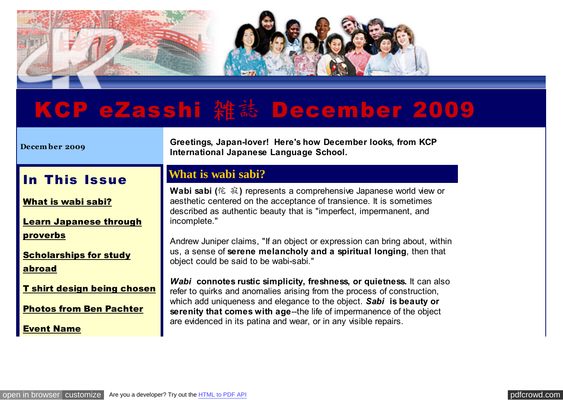

# KCP eZasshi雑誌December 2009

| December 2009                                                        | Greetings, Japan-lover! Here's how December looks, from KCP<br>International Japanese Language School.                                                                                                                                                                                        |
|----------------------------------------------------------------------|-----------------------------------------------------------------------------------------------------------------------------------------------------------------------------------------------------------------------------------------------------------------------------------------------|
| In This Issue                                                        | <b>What is wabi sabi?</b>                                                                                                                                                                                                                                                                     |
| What is wabi sabi?                                                   | Wabi sabi (侘 寂) represents a comprehensive Japanese world view or<br>aesthetic centered on the acceptance of transience. It is sometimes<br>described as authentic beauty that is "imperfect, impermanent, and                                                                                |
| <b>Learn Japanese through</b>                                        | incomplete."                                                                                                                                                                                                                                                                                  |
| <b>proverbs</b><br><b>Scholarships for study</b><br>abroad           | Andrew Juniper claims, "If an object or expression can bring about, within<br>us, a sense of serene melancholy and a spiritual longing, then that<br>object could be said to be wabi-sabi."                                                                                                   |
| <b>T shirt design being chosen</b><br><b>Photos from Ben Pachter</b> | Wabi connotes rustic simplicity, freshness, or quietness. It can also<br>refer to quirks and anomalies arising from the process of construction,<br>which add uniqueness and elegance to the object. Sabi is beauty or<br>serenity that comes with age-the life of impermanence of the object |
| <b>Event Name</b>                                                    | are evidenced in its patina and wear, or in any visible repairs.                                                                                                                                                                                                                              |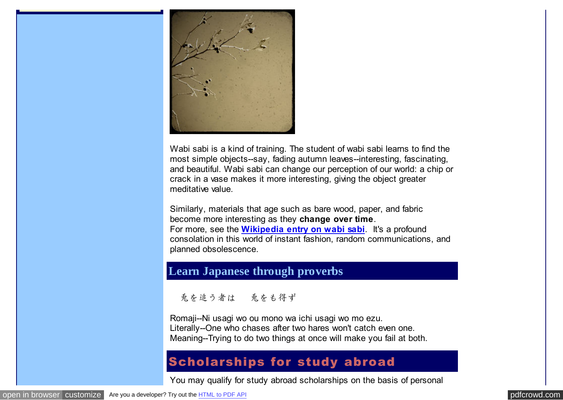

Wabi sabi is a kind of training. The student of wabi sabi learns to find the most simple objects--say, fading autumn leaves--interesting, fascinating, and beautiful. Wabi sabi can change our perception of our world: a chip or crack in a vase makes it more interesting, giving the object greater meditative value.

Similarly, materials that age such as bare wood, paper, and fabric become more interesting as they **change over time**. For more, see the **[Wikipedia entry on wabi sabi](http://pdfcrowd.com/redirect/?url=http%3a%2f%2fen.wikipedia.org%2fwiki%2fWabi_sabi&id=in-110620232759-b879d2df)**. It's a profound consolation in this world of instant fashion, random communications, and planned obsolescence.

## **Learn Japanese through proverbs**

二兎を追う者は 一兎をも得ず

Romaji--Ni usagi wo ou mono wa ichi usagi wo mo ezu. Literally--One who chases after two hares won't catch even one. Meaning--Trying to do two things at once will make you fail at both.

## Scholarships for study abroad

You may qualify for study abroad scholarships on the basis of personal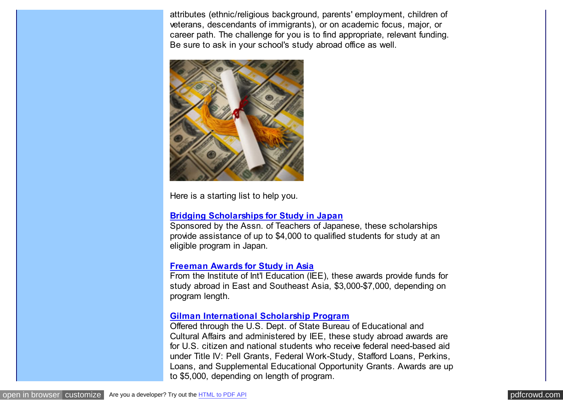attributes (ethnic/religious background, parents' employment, children of veterans, descendants of immigrants), or on academic focus, major, or career path. The challenge for you is to find appropriate, relevant funding. Be sure to ask in your school's study abroad office as well.



Here is a starting list to help you.

#### **[Bridging Scholarships for Study in Japan](http://pdfcrowd.com/redirect/?url=http%3a%2f%2fwww.aatj.org%2fatj%2fstudyabroad%2fscholarships.html&id=in-110620232759-b879d2df)**

Sponsored by the Assn. of Teachers of Japanese, these scholarships provide assistance of up to \$4,000 to qualified students for study at an eligible program in Japan.

#### **[Freeman Awards for Study in Asia](http://pdfcrowd.com/redirect/?url=http%3a%2f%2fwww.iie.org%2fpgms%2ffreeman-asia%2f&id=in-110620232759-b879d2df)**

From the Institute of Int'l Education (IEE), these awards provide funds for study abroad in East and Southeast Asia, \$3,000-\$7,000, depending on program length.

#### **[Gilman International Scholarship Program](http://pdfcrowd.com/redirect/?url=http%3a%2f%2fwww.iie.org%2fgilman%2f&id=in-110620232759-b879d2df)**

Offered through the U.S. Dept. of State Bureau of Educational and Cultural Affairs and administered by IEE, these study abroad awards are for U.S. citizen and national students who receive federal need-based aid under Title IV: Pell Grants, Federal Work-Study, Stafford Loans, Perkins, Loans, and Supplemental Educational Opportunity Grants. Awards are up to \$5,000, depending on length of program.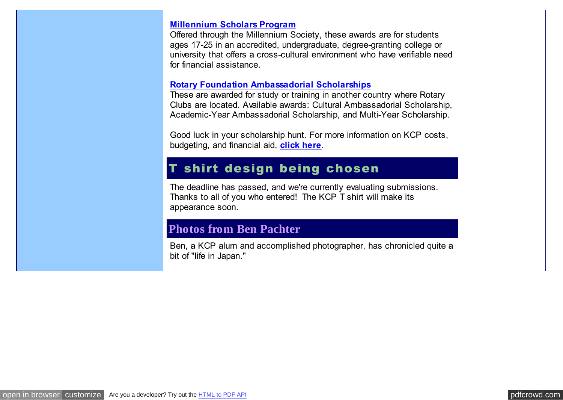#### **[Millennium Scholars Program](http://pdfcrowd.com/redirect/?url=http%3a%2f%2fwww.millenniumsociety.org%2fscholars_program.html&id=in-110620232759-b879d2df)**

Offered through the Millennium Society, these awards are for students ages 17-25 in an accredited, undergraduate, degree-granting college or university that offers a cross-cultural environment who have verifiable need for financial assistance.

#### **[Rotary Foundation Ambassadorial Scholarships](http://pdfcrowd.com/redirect/?url=http%3a%2f%2fwww.rotary.org%2ffoundation%2feducational%2famb_scho%2findex.html&id=in-110620232759-b879d2df)**

These are awarded for study or training in another country where Rotary Clubs are located. Available awards: Cultural Ambassadorial Scholarship, Academic-Year Ambassadorial Scholarship, and Multi-Year Scholarship.

Good luck in your scholarship hunt. For more information on KCP costs, budgeting, and financial aid, **[click here](http://pdfcrowd.com/redirect/?url=http%3a%2f%2fwww.kcpinternational.com%2ffinances%2fcosts.html&id=in-110620232759-b879d2df)**.

## T shirt design being chosen

The deadline has passed, and we're currently evaluating submissions. Thanks to all of you who entered! The KCP T shirt will make its appearance soon.

## **Photos from Ben Pachter**

Ben, a KCP alum and accomplished photographer, has chronicled quite a bit of "life in Japan."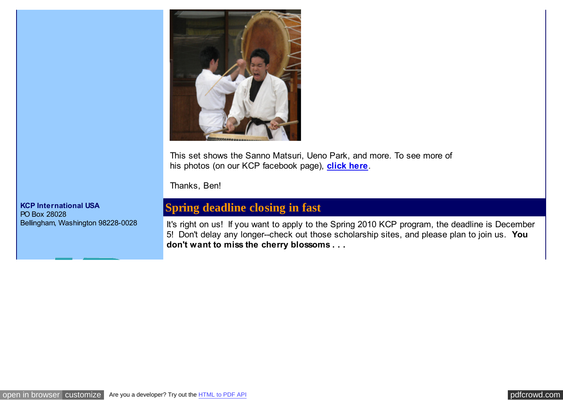

This set shows the Sanno Matsuri, Ueno Park, and more. To see more of his photos (on our KCP facebook page), **[click here](http://pdfcrowd.com/redirect/?url=http%3a%2f%2fwww.facebook.com%2falbum.php%3faid%3d129075%26id%3d150769693845&id=in-110620232759-b879d2df)**.

Thanks, Ben!

## **Spring deadline closing in fast**

It's right on us! If you want to apply to the Spring 2010 KCP program, the deadline is December 5! Don't delay any longer--check out those scholarship sites, and please plan to join us. **You don't want to miss the cherry blossoms . . .** 

**KCP International USA** PO Box 28028 Bellingham, Washington 98228-0028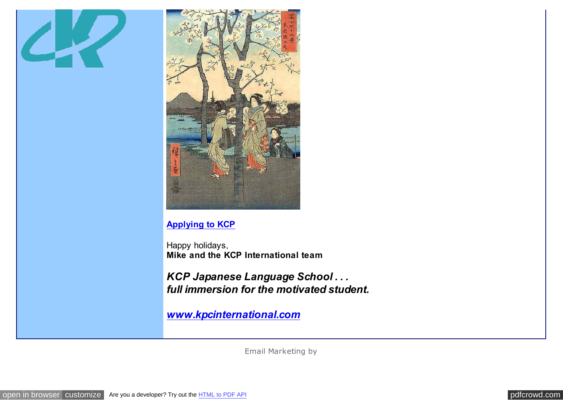



### **[Applying to KCP](http://pdfcrowd.com/redirect/?url=http%3a%2f%2fwww.kcpinternational.com%2fapplying%2fapplication_pdf.html&id=in-110620232759-b879d2df)**

Happy holidays, **Mike and the KCP International team**

*KCP Japanese Language School . . . full immersion for the motivated student.*

*[www.kpcinternational.com](http://pdfcrowd.com/redirect/?url=http%3a%2f%2fwww.kcpinternational.com%2f&id=in-110620232759-b879d2df)*

[Email Marketing](http://pdfcrowd.com/redirect/?url=http%3a%2f%2fwww.constantcontact.com%2findex.jsp%3fcc%3devents01&id=in-110620232759-b879d2df) by